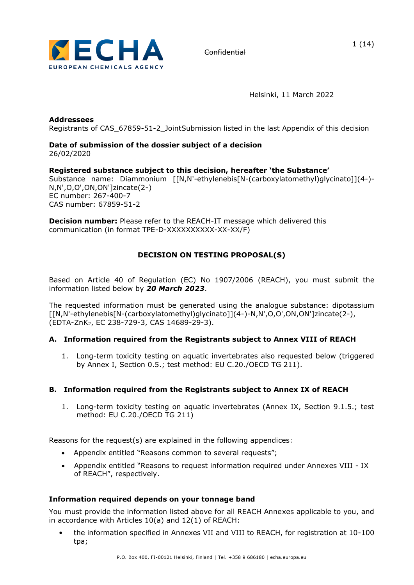

1 (14)

Helsinki, 11 March 2022

**Addressees** Registrants of CAS\_67859-51-2\_JointSubmission listed in the last Appendix of this decision

### **Date of submission of the dossier subject of a decision**  26/02/2020

# **Registered substance subject to this decision, hereafter 'the Substance'**

Substance name: Diammonium [[N,N'-ethylenebis[N-(carboxylatomethyl)glycinato]](4-)- N,N',O,O',ON,ON']zincate(2-) EC number: 267-400-7 CAS number: 67859-51-2

**Decision number:** Please refer to the REACH-IT message which delivered this communication (in format TPE-D-XXXXXXXXXX-XX-XX/F)

# **DECISION ON TESTING PROPOSAL(S)**

Based on Article 40 of Regulation (EC) No 1907/2006 (REACH), you must submit the information listed below by *20 March 2023*.

The requested information must be generated using the analogue substance: dipotassium [[N,N'-ethylenebis[N-(carboxylatomethyl)glycinato]](4-)-N,N',O,O',ON,ON']zincate(2-), (EDTA-ZnK2, EC 238-729-3, CAS 14689-29-3).

# **A. Information required from the Registrants subject to Annex VIII of REACH**

1. Long-term toxicity testing on aquatic invertebrates also requested below (triggered by Annex I, Section 0.5.; test method: EU C.20./OECD TG 211).

# **B. Information required from the Registrants subject to Annex IX of REACH**

1. Long-term toxicity testing on aquatic invertebrates (Annex IX, Section 9.1.5.; test method: EU C.20./OECD TG 211)

Reasons for the request(s) are explained in the following appendices:

- Appendix entitled "Reasons common to several requests";
- Appendix entitled "Reasons to request information required under Annexes VIII IX of REACH", respectively.

### **Information required depends on your tonnage band**

You must provide the information listed above for all REACH Annexes applicable to you, and in accordance with Articles 10(a) and 12(1) of REACH:

• the information specified in Annexes VII and VIII to REACH, for registration at 10-100 tpa;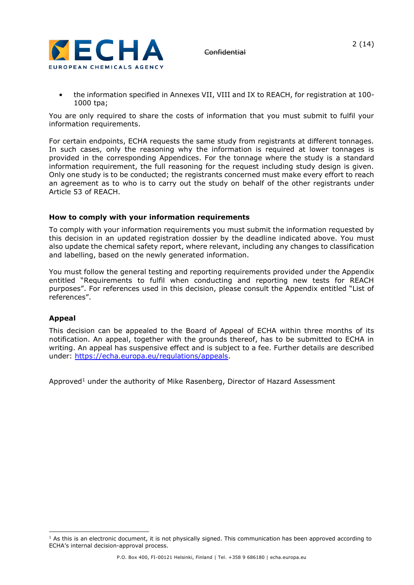

• the information specified in Annexes VII, VIII and IX to REACH, for registration at 100- 1000 tpa;

You are only required to share the costs of information that you must submit to fulfil your information requirements.

For certain endpoints, ECHA requests the same study from registrants at different tonnages. In such cases, only the reasoning why the information is required at lower tonnages is provided in the corresponding Appendices. For the tonnage where the study is a standard information requirement, the full reasoning for the request including study design is given. Only one study is to be conducted; the registrants concerned must make every effort to reach an agreement as to who is to carry out the study on behalf of the other registrants under Article 53 of REACH.

## **How to comply with your information requirements**

To comply with your information requirements you must submit the information requested by this decision in an updated registration dossier by the deadline indicated above. You must also update the chemical safety report, where relevant, including any changes to classification and labelling, based on the newly generated information.

You must follow the general testing and reporting requirements provided under the Appendix entitled "Requirements to fulfil when conducting and reporting new tests for REACH purposes". For references used in this decision, please consult the Appendix entitled "List of references".

# **Appeal**

This decision can be appealed to the Board of Appeal of ECHA within three months of its notification. An appeal, together with the grounds thereof, has to be submitted to ECHA in writing. An appeal has suspensive effect and is subject to a fee. Further details are described under: [https://echa.europa.eu/regulations/appeals.](https://echa.europa.eu/regulations/appeals)

Approved<sup>1</sup> under the authority of Mike Rasenberg, Director of Hazard Assessment

 $<sup>1</sup>$  As this is an electronic document, it is not physically signed. This communication has been approved according to</sup> ECHA's internal decision-approval process.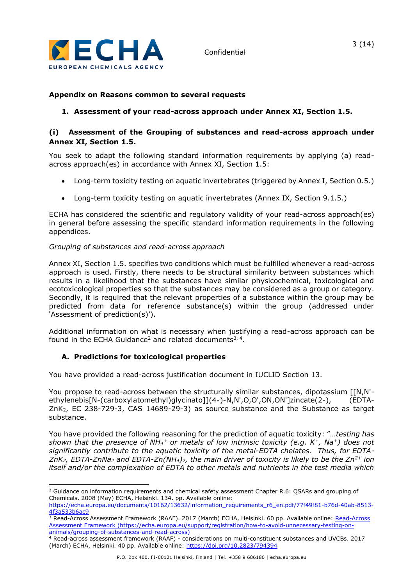

# **Appendix on Reasons common to several requests**

# **1. Assessment of your read-across approach under Annex XI, Section 1.5.**

## **(i) Assessment of the Grouping of substances and read-across approach under Annex XI, Section 1.5.**

You seek to adapt the following standard information requirements by applying (a) readacross approach(es) in accordance with Annex XI, Section 1.5:

- Long-term toxicity testing on aquatic invertebrates (triggered by Annex I, Section 0.5.)
- Long-term toxicity testing on aquatic invertebrates (Annex IX, Section 9.1.5.)

ECHA has considered the scientific and regulatory validity of your read-across approach(es) in general before assessing the specific standard information requirements in the following appendices.

### *Grouping of substances and read-across approach*

Annex XI, Section 1.5. specifies two conditions which must be fulfilled whenever a read-across approach is used. Firstly, there needs to be structural similarity between substances which results in a likelihood that the substances have similar physicochemical, toxicological and ecotoxicological properties so that the substances may be considered as a group or category. Secondly, it is required that the relevant properties of a substance within the group may be predicted from data for reference substance(s) within the group (addressed under 'Assessment of prediction(s)').

Additional information on what is necessary when justifying a read-across approach can be found in the ECHA Guidance<sup>2</sup> and related documents<sup>3, 4</sup>.

# **A. Predictions for toxicological properties**

You have provided a read-across justification document in IUCLID Section 13.

You propose to read-across between the structurally similar substances, dipotassium [[N,N'ethylenebis[N-(carboxylatomethyl)glycinato]](4-)-N,N',O,O',ON,ON']zincate(2-), (EDTA-ZnK2, EC 238-729-3, CAS 14689-29-3) as source substance and the Substance as target substance.

You have provided the following reasoning for the prediction of aquatic toxicity: "…*testing has shown that the presence of NH<sup>4</sup> <sup>+</sup> or metals of low intrinsic toxicity (e.g. K<sup>+</sup>, Na<sup>+</sup>) does not significantly contribute to the aquatic toxicity of the metal-EDTA chelates. Thus, for EDTA-ZnK2, EDTA-ZnNa<sup>2</sup> and EDTA-Zn(NH4)2, the main driver of toxicity is likely to be the Zn2+ ion itself and/or the complexation of EDTA to other metals and nutrients in the test media which* 

<sup>&</sup>lt;sup>2</sup> Guidance on information requirements and chemical safety assessment Chapter R.6: QSARs and grouping of Chemicals. 2008 (May) ECHA, Helsinki. 134. pp. Available online: [https://echa.europa.eu/documents/10162/13632/information\\_requirements\\_r6\\_en.pdf/77f49f81-b76d-40ab-8513-](https://echa.europa.eu/documents/10162/13632/information_requirements_r6_en.pdf/77f49f81-b76d-40ab-8513-4f3a533b6ac9)

[<sup>4</sup>f3a533b6ac9](https://echa.europa.eu/documents/10162/13632/information_requirements_r6_en.pdf/77f49f81-b76d-40ab-8513-4f3a533b6ac9)

<sup>3</sup> [Read-Across](https://echa.europa.eu/support/registration/how-to-avoid-unnecessary-testing-on-animals/grouping-of-substances-and-read-across) Assessment Framework (RAAF). 2017 (March) ECHA, Helsinki. 60 pp. Available online: Read-Across [Assessment Framework](https://echa.europa.eu/support/registration/how-to-avoid-unnecessary-testing-on-animals/grouping-of-substances-and-read-across) [\(https://echa.europa.eu/support/registration/how-to-avoid-unnecessary-testing-on](https://echa.europa.eu/support/registration/how-to-avoid-unnecessary-testing-on-animals/grouping-of-substances-and-read-across)[animals/grouping-of-substances-and-read-across\)](https://echa.europa.eu/support/registration/how-to-avoid-unnecessary-testing-on-animals/grouping-of-substances-and-read-across)

<sup>4</sup> Read-across assessment framework (RAAF) - considerations on multi-constituent substances and UVCBs. 2017 (March) ECHA, Helsinki. 40 pp. Available online: <https://doi.org/10.2823/794394>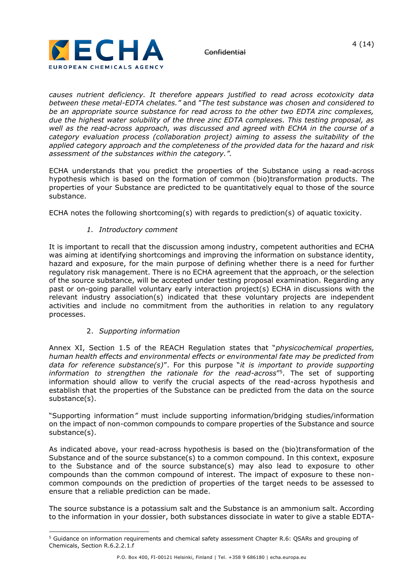

*causes nutrient deficiency. It therefore appears justified to read across ecotoxicity data between these metal-EDTA chelates."* and "*The test substance was chosen and considered to be an appropriate source substance for read across to the other two EDTA zinc complexes, due the highest water solubility of the three zinc EDTA complexes. This testing proposal, as well as the read-across approach, was discussed and agreed with ECHA in the course of a category evaluation process (collaboration project) aiming to assess the suitability of the applied category approach and the completeness of the provided data for the hazard and risk assessment of the substances within the category.".*

ECHA understands that you predict the properties of the Substance using a read-across hypothesis which is based on the formation of common (bio)transformation products. The properties of your Substance are predicted to be quantitatively equal to those of the source substance.

ECHA notes the following shortcoming(s) with regards to prediction(s) of aquatic toxicity.

# *1. Introductory comment*

It is important to recall that the discussion among industry, competent authorities and ECHA was aiming at identifying shortcomings and improving the information on substance identity, hazard and exposure, for the main purpose of defining whether there is a need for further regulatory risk management. There is no ECHA agreement that the approach, or the selection of the source substance, will be accepted under testing proposal examination. Regarding any past or on-going parallel voluntary early interaction project(s) ECHA in discussions with the relevant industry association(s) indicated that these voluntary projects are independent activities and include no commitment from the authorities in relation to any regulatory processes.

### 2. *Supporting information*

Annex XI, Section 1.5 of the REACH Regulation states that "*physicochemical properties, human health effects and environmental effects or environmental fate may be predicted from data for reference substance(s)*". For this purpose "*it is important to provide supporting information to strengthen the rationale for the read-across*" 5 . The set of supporting information should allow to verify the crucial aspects of the read-across hypothesis and establish that the properties of the Substance can be predicted from the data on the source substance(s).

"Supporting information*"* must include supporting information/bridging studies/information on the impact of non-common compounds to compare properties of the Substance and source substance(s).

As indicated above, your read-across hypothesis is based on the (bio)transformation of the Substance and of the source substance(s) to a common compound. In this context, exposure to the Substance and of the source substance(s) may also lead to exposure to other compounds than the common compound of interest. The impact of exposure to these noncommon compounds on the prediction of properties of the target needs to be assessed to ensure that a reliable prediction can be made.

The source substance is a potassium salt and the Substance is an ammonium salt. According to the information in your dossier, both substances dissociate in water to give a stable EDTA-

<sup>5</sup> Guidance on information requirements and chemical safety assessment Chapter R.6: QSARs and grouping of Chemicals, Section R.6.2.2.1.f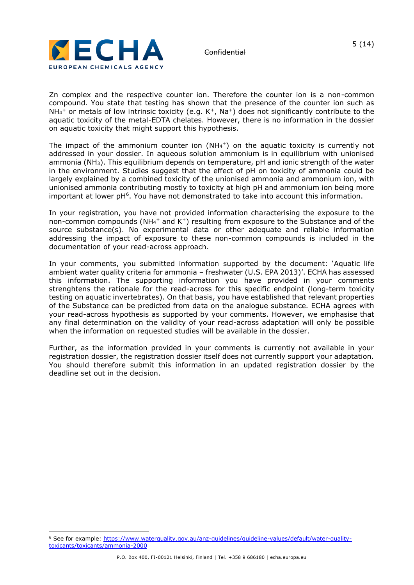

Zn complex and the respective counter ion. Therefore the counter ion is a non-common compound. You state that testing has shown that the presence of the counter ion such as  $NH<sub>4</sub>$ + or metals of low intrinsic toxicity (e.g. K<sup>+</sup>, Na<sup>+</sup>) does not significantly contribute to the aquatic toxicity of the metal-EDTA chelates. However, there is no information in the dossier on aquatic toxicity that might support this hypothesis.

The impact of the ammonium counter ion  $(NH_4^+)$  on the aquatic toxicity is currently not addressed in your dossier. In aqueous solution ammonium is in equilibrium with unionised ammonia (NH3). This equilibrium depends on temperature, pH and ionic strength of the water in the environment. Studies suggest that the effect of pH on toxicity of ammonia could be largely explained by a combined toxicity of the unionised ammonia and ammonium ion, with unionised ammonia contributing mostly to toxicity at high pH and ammonium ion being more important at lower pH<sup>6</sup>. You have not demonstrated to take into account this information.

In your registration, you have not provided information characterising the exposure to the non-common compounds (NH<sub>4</sub><sup>+</sup> and K<sup>+</sup>) resulting from exposure to the Substance and of the source substance(s). No experimental data or other adequate and reliable information addressing the impact of exposure to these non-common compounds is included in the documentation of your read-across approach.

In your comments, you submitted information supported by the document: 'Aquatic life ambient water quality criteria for ammonia – freshwater (U.S. EPA 2013)'. ECHA has assessed this information. The supporting information you have provided in your comments strenghtens the rationale for the read-across for this specific endpoint (long-term toxicity testing on aquatic invertebrates). On that basis, you have established that relevant properties of the Substance can be predicted from data on the analogue substance. ECHA agrees with your read-across hypothesis as supported by your comments. However, we emphasise that any final determination on the validity of your read-across adaptation will only be possible when the information on requested studies will be available in the dossier.

Further, as the information provided in your comments is currently not available in your registration dossier, the registration dossier itself does not currently support your adaptation. You should therefore submit this information in an updated registration dossier by the deadline set out in the decision.

<sup>&</sup>lt;sup>6</sup> See for example: https://www.waterquality.gov.au/anz-quidelines/quideline-values/default/water-quality[toxicants/toxicants/ammonia-2000](https://www.waterquality.gov.au/anz-guidelines/guideline-values/default/water-quality-toxicants/toxicants/ammonia-2000)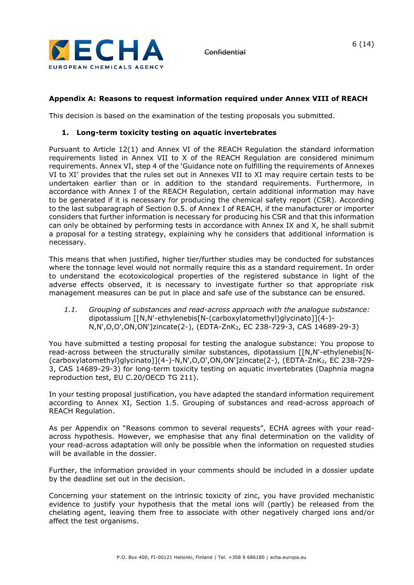

# **Appendix A: Reasons to request information required under Annex VIII of REACH**

This decision is based on the examination of the testing proposals you submitted.

### **1. Long-term toxicity testing on aquatic invertebrates**

Pursuant to Article 12(1) and Annex VI of the REACH Regulation the standard information requirements listed in Annex VII to X of the REACH Regulation are considered minimum requirements. Annex VI, step 4 of the 'Guidance note on fulfilling the requirements of Annexes VI to XI' provides that the rules set out in Annexes VII to XI may require certain tests to be undertaken earlier than or in addition to the standard requirements. Furthermore, in accordance with Annex I of the REACH Regulation, certain additional information may have to be generated if it is necessary for producing the chemical safety report (CSR). According to the last subparagraph of Section 0.5. of Annex I of REACH, if the manufacturer or importer considers that further information is necessary for producing his CSR and that this information can only be obtained by performing tests in accordance with Annex IX and X, he shall submit a proposal for a testing strategy, explaining why he considers that additional information is necessary.

This means that when justified, higher tier/further studies may be conducted for substances where the tonnage level would not normally require this as a standard requirement. In order to understand the ecotoxicological properties of the registered substance in light of the adverse effects observed, it is necessary to investigate further so that appropriate risk management measures can be put in place and safe use of the substance can be ensured.

*1.1. Grouping of substances and read-across approach with the analogue substance:*  dipotassium [[N,N'-ethylenebis[N-(carboxylatomethyl)glycinato]](4-)- N,N',O,O',ON,ON']zincate(2-), (EDTA-ZnK2, EC 238-729-3, CAS 14689-29-3)

You have submitted a testing proposal for testing the analogue substance: You propose to read-across between the structurally similar substances, dipotassium [[N,N'-ethylenebis[N- (carboxylatomethyl)glycinato]](4-)-N,N',O,O',ON,ON']zincate(2-), (EDTA-ZnK2, EC 238-729- 3, CAS 14689-29-3) for long-term toxicity testing on aquatic invertebrates (Daphnia magna reproduction test, EU C.20/OECD TG 211).

In your testing proposal justification, you have adapted the standard information requirement according to Annex XI, Section 1.5. Grouping of substances and read-across approach of REACH Regulation.

As per Appendix on "Reasons common to several requests", ECHA agrees with your readacross hypothesis. However, we emphasise that any final determination on the validity of your read-across adaptation will only be possible when the information on requested studies will be available in the dossier.

Further, the information provided in your comments should be included in a dossier update by the deadline set out in the decision.

Concerning your statement on the intrinsic toxicity of zinc, you have provided mechanistic evidence to justify your hypothesis that the metal ions will (partly) be released from the chelating agent, leaving them free to associate with other negatively charged ions and/or affect the test organisms.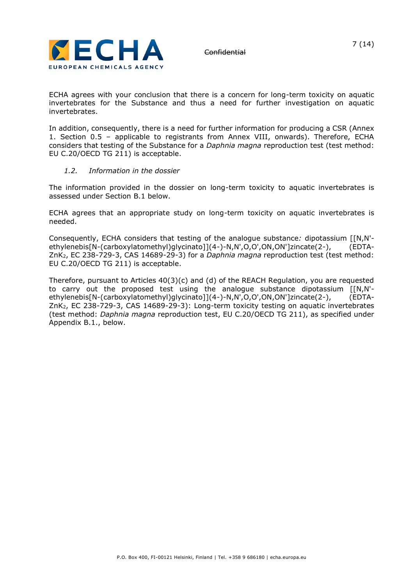

ECHA agrees with your conclusion that there is a concern for long-term toxicity on aquatic invertebrates for the Substance and thus a need for further investigation on aquatic invertebrates.

In addition, consequently, there is a need for further information for producing a CSR (Annex 1. Section 0.5 – applicable to registrants from Annex VIII, onwards). Therefore, ECHA considers that testing of the Substance for a *Daphnia magna* reproduction test (test method: EU C.20/OECD TG 211) is acceptable.

## *1.2. Information in the dossier*

The information provided in the dossier on long-term toxicity to aquatic invertebrates is assessed under Section B.1 below.

ECHA agrees that an appropriate study on long-term toxicity on aquatic invertebrates is needed.

Consequently, ECHA considers that testing of the analogue substance*:* dipotassium [[N,N' ethylenebis[N-(carboxylatomethyl)glycinato]](4-)-N,N',O,O',ON,ON']zincate(2-), (EDTA-ZnK2, EC 238-729-3, CAS 14689-29-3) for a *Daphnia magna* reproduction test (test method: EU C.20/OECD TG 211) is acceptable.

Therefore, pursuant to Articles  $40(3)(c)$  and (d) of the REACH Regulation, you are requested to carry out the proposed test using the analogue substance dipotassium [[N,N' ethylenebis[N-(carboxylatomethyl)glycinato]](4-)-N,N',O,O',ON,ON']zincate(2-), (EDTA-ZnK2, EC 238-729-3, CAS 14689-29-3): Long-term toxicity testing on aquatic invertebrates (test method: *Daphnia magna* reproduction test, EU C.20/OECD TG 211), as specified under Appendix B.1., below.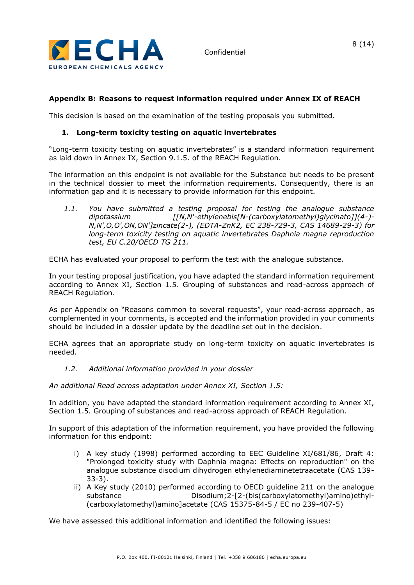

# **Appendix B: Reasons to request information required under Annex IX of REACH**

This decision is based on the examination of the testing proposals you submitted.

## **1. Long-term toxicity testing on aquatic invertebrates**

"Long-term toxicity testing on aquatic invertebrates" is a standard information requirement as laid down in Annex IX, Section 9.1.5. of the REACH Regulation.

The information on this endpoint is not available for the Substance but needs to be present in the technical dossier to meet the information requirements. Consequently, there is an information gap and it is necessary to provide information for this endpoint.

*1.1. You have submitted a testing proposal for testing the analogue substance dipotassium [[N,N'-ethylenebis[N-(carboxylatomethyl)glycinato]](4-)- N,N',O,O',ON,ON']zincate(2-), (EDTA-ZnK2, EC 238-729-3, CAS 14689-29-3) for long-term toxicity testing on aquatic invertebrates Daphnia magna reproduction test, EU C.20/OECD TG 211.*

ECHA has evaluated your proposal to perform the test with the analogue substance.

In your testing proposal justification, you have adapted the standard information requirement according to Annex XI, Section 1.5. Grouping of substances and read-across approach of REACH Regulation.

As per Appendix on "Reasons common to several requests", your read-across approach, as complemented in your comments, is accepted and the information provided in your comments should be included in a dossier update by the deadline set out in the decision.

ECHA agrees that an appropriate study on long-term toxicity on aquatic invertebrates is needed.

*1.2. Additional information provided in your dossier*

*An additional Read across adaptation under Annex XI, Section 1.5:*

In addition, you have adapted the standard information requirement according to Annex XI, Section 1.5. Grouping of substances and read-across approach of REACH Regulation.

In support of this adaptation of the information requirement, you have provided the following information for this endpoint:

- i) A key study (1998) performed according to EEC Guideline XI/681/86, Draft 4: "Prolonged toxicity study with Daphnia magna: Effects on reproduction" on the analogue substance disodium dihydrogen ethylenediaminetetraacetate (CAS 139- 33-3).
- ii) A Key study (2010) performed according to OECD guideline 211 on the analogue substance **Disodium;2-[2-(bis(carboxylatomethyl)amino)ethyl-**(carboxylatomethyl)amino]acetate (CAS 15375-84-5 / EC no 239-407-5)

We have assessed this additional information and identified the following issues: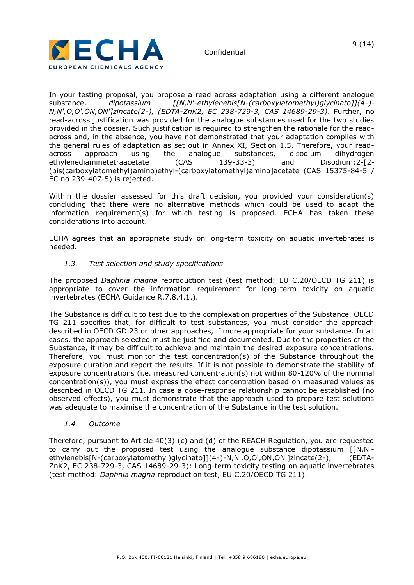



In your testing proposal, you propose a read across adaptation using a different analogue substance, *dipotassium [[N,N'-ethylenebis[N-(carboxylatomethyl)glycinato]](4-)- N,N',O,O',ON,ON']zincate(2-), (EDTA-ZnK2, EC 238-729-3, CAS 14689-29-3)*. Further, no read-across justification was provided for the analogue substances used for the two studies provided in the dossier. Such justification is required to strengthen the rationale for the readacross and, in the absence, you have not demonstrated that your adaptation complies with the general rules of adaptation as set out in Annex XI, Section 1.5. Therefore, your readacross approach using the analogue substances, disodium dihydrogen ethylenediaminetetraacetate (CAS 139-33-3) and Disodium;2-[2- (bis(carboxylatomethyl)amino)ethyl-(carboxylatomethyl)amino]acetate (CAS 15375-84-5 / EC no 239-407-5) is rejected.

Within the dossier assessed for this draft decision, you provided your consideration(s) concluding that there were no alternative methods which could be used to adapt the information requirement(s) for which testing is proposed. ECHA has taken these considerations into account.

ECHA agrees that an appropriate study on long-term toxicity on aquatic invertebrates is needed.

## *1.3. Test selection and study specifications*

The proposed *Daphnia magna* reproduction test (test method: EU C.20/OECD TG 211) is appropriate to cover the information requirement for long-term toxicity on aquatic invertebrates (ECHA Guidance R.7.8.4.1.).

The Substance is difficult to test due to the complexation properties of the Substance. OECD TG 211 specifies that, for difficult to test substances, you must consider the approach described in OECD GD 23 or other approaches, if more appropriate for your substance. In all cases, the approach selected must be justified and documented. Due to the properties of the Substance, it may be difficult to achieve and maintain the desired exposure concentrations. Therefore, you must monitor the test concentration(s) of the Substance throughout the exposure duration and report the results. If it is not possible to demonstrate the stability of exposure concentrations (i.e. measured concentration(s) not within 80-120% of the nominal concentration(s)), you must express the effect concentration based on measured values as described in OECD TG 211. In case a dose-response relationship cannot be established (no observed effects), you must demonstrate that the approach used to prepare test solutions was adequate to maximise the concentration of the Substance in the test solution.

### *1.4. Outcome*

Therefore, pursuant to Article 40(3) (c) and (d) of the REACH Regulation, you are requested to carry out the proposed test using the analogue substance dipotassium [[N,N' ethylenebis[N-(carboxylatomethyl)glycinato]](4-)-N,N',O,O',ON,ON']zincate(2-), (EDTA-ZnK2, EC 238-729-3, CAS 14689-29-3): Long-term toxicity testing on aquatic invertebrates (test method: *Daphnia magna* reproduction test, EU C.20/OECD TG 211).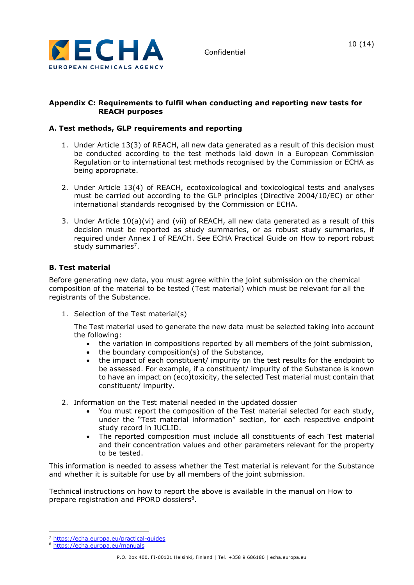

## **Appendix C: Requirements to fulfil when conducting and reporting new tests for REACH purposes**

# **A. Test methods, GLP requirements and reporting**

- 1. Under Article 13(3) of REACH, all new data generated as a result of this decision must be conducted according to the test methods laid down in a European Commission Regulation or to international test methods recognised by the Commission or ECHA as being appropriate.
- 2. Under Article 13(4) of REACH, ecotoxicological and toxicological tests and analyses must be carried out according to the GLP principles (Directive 2004/10/EC) or other international standards recognised by the Commission or ECHA.
- 3. Under Article 10(a)(vi) and (vii) of REACH, all new data generated as a result of this decision must be reported as study summaries, or as robust study summaries, if required under Annex I of REACH. See ECHA Practical Guide on How to report robust study summaries<sup>7</sup>.

# **B. Test material**

Before generating new data, you must agree within the joint submission on the chemical composition of the material to be tested (Test material) which must be relevant for all the registrants of the Substance.

1. Selection of the Test material(s)

The Test material used to generate the new data must be selected taking into account the following:

- the variation in compositions reported by all members of the joint submission,
- the boundary composition(s) of the Substance,
- the impact of each constituent/ impurity on the test results for the endpoint to be assessed. For example, if a constituent/ impurity of the Substance is known to have an impact on (eco)toxicity, the selected Test material must contain that constituent/ impurity.
- 2. Information on the Test material needed in the updated dossier
	- You must report the composition of the Test material selected for each study, under the "Test material information" section, for each respective endpoint study record in IUCLID.
	- The reported composition must include all constituents of each Test material and their concentration values and other parameters relevant for the property to be tested.

This information is needed to assess whether the Test material is relevant for the Substance and whether it is suitable for use by all members of the joint submission.

Technical instructions on how to report the above is available in the manual on How to prepare registration and PPORD dossiers<sup>8</sup>.

<sup>7</sup> <https://echa.europa.eu/practical-guides>

<sup>8</sup> <https://echa.europa.eu/manuals>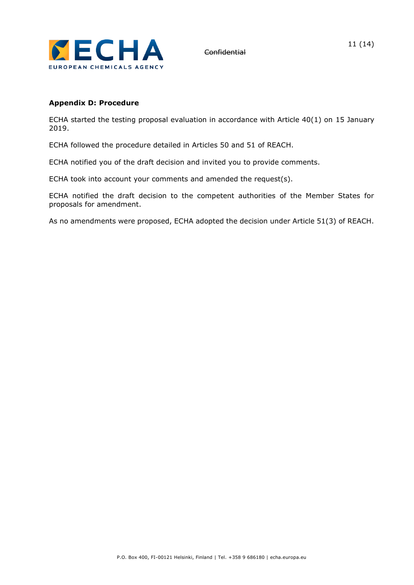

# **Appendix D: Procedure**

ECHA started the testing proposal evaluation in accordance with Article 40(1) on 15 January 2019.

ECHA followed the procedure detailed in Articles 50 and 51 of REACH.

ECHA notified you of the draft decision and invited you to provide comments.

ECHA took into account your comments and amended the request(s).

ECHA notified the draft decision to the competent authorities of the Member States for proposals for amendment.

As no amendments were proposed, ECHA adopted the decision under Article 51(3) of REACH.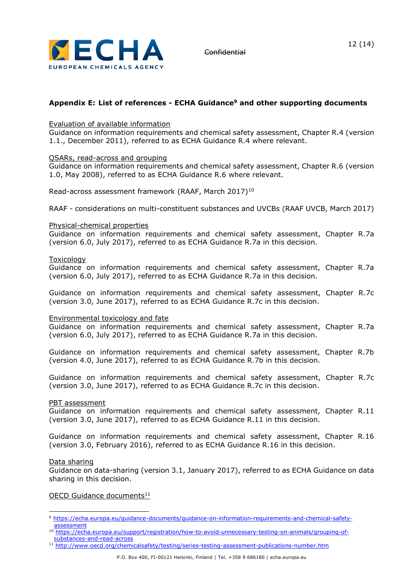

# **Appendix E: List of references - ECHA Guidance<sup>9</sup> and other supporting documents**

#### Evaluation of available information

Guidance on information requirements and chemical safety assessment, Chapter R.4 (version 1.1., December 2011), referred to as ECHA Guidance R.4 where relevant.

#### QSARs, read-across and grouping

Guidance on information requirements and chemical safety assessment, Chapter R.6 (version 1.0, May 2008), referred to as ECHA Guidance R.6 where relevant.

Read-across assessment framework (RAAF, March 2017)<sup>10</sup>

RAAF - considerations on multi-constituent substances and UVCBs (RAAF UVCB, March 2017)

#### Physical-chemical properties

Guidance on information requirements and chemical safety assessment, Chapter R.7a (version 6.0, July 2017), referred to as ECHA Guidance R.7a in this decision.

#### Toxicology

Guidance on information requirements and chemical safety assessment, Chapter R.7a (version 6.0, July 2017), referred to as ECHA Guidance R.7a in this decision.

Guidance on information requirements and chemical safety assessment, Chapter R.7c (version 3.0, June 2017), referred to as ECHA Guidance R.7c in this decision.

Environmental toxicology and fate

Guidance on information requirements and chemical safety assessment, Chapter R.7a (version 6.0, July 2017), referred to as ECHA Guidance R.7a in this decision.

Guidance on information requirements and chemical safety assessment, Chapter R.7b (version 4.0, June 2017), referred to as ECHA Guidance R.7b in this decision.

Guidance on information requirements and chemical safety assessment, Chapter R.7c (version 3.0, June 2017), referred to as ECHA Guidance R.7c in this decision.

#### PBT assessment

Guidance on information requirements and chemical safety assessment, Chapter R.11 (version 3.0, June 2017), referred to as ECHA Guidance R.11 in this decision.

Guidance on information requirements and chemical safety assessment, Chapter R.16 (version 3.0, February 2016), referred to as ECHA Guidance R.16 in this decision.

#### Data sharing

Guidance on data-sharing (version 3.1, January 2017), referred to as ECHA Guidance on data sharing in this decision.

#### OECD Guidance documents<sup>11</sup>

<sup>11</sup> <http://www.oecd.org/chemicalsafety/testing/series-testing-assessment-publications-number.htm>

<sup>9</sup> [https://echa.europa.eu/guidance-documents/guidance-on-information-requirements-and-chemical-safety](https://echa.europa.eu/guidance-documents/guidance-on-information-requirements-and-chemical-safety-assessment)[assessment](https://echa.europa.eu/guidance-documents/guidance-on-information-requirements-and-chemical-safety-assessment)

<sup>10</sup> [https://echa.europa.eu/support/registration/how-to-avoid-unnecessary-testing-on-animals/grouping-of](https://echa.europa.eu/support/registration/how-to-avoid-unnecessary-testing-on-animals/grouping-of-substances-and-read-across)[substances-and-read-across](https://echa.europa.eu/support/registration/how-to-avoid-unnecessary-testing-on-animals/grouping-of-substances-and-read-across)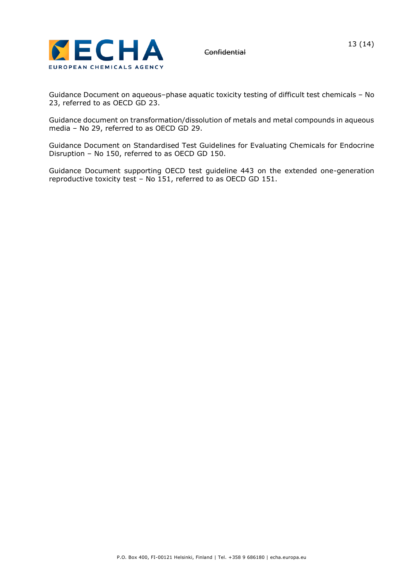

Guidance Document on aqueous–phase aquatic toxicity testing of difficult test chemicals – No 23, referred to as OECD GD 23.

Guidance document on transformation/dissolution of metals and metal compounds in aqueous media – No 29, referred to as OECD GD 29.

Guidance Document on Standardised Test Guidelines for Evaluating Chemicals for Endocrine Disruption – No 150, referred to as OECD GD 150.

Guidance Document supporting OECD test guideline 443 on the extended one-generation reproductive toxicity test – No 151, referred to as OECD GD 151.